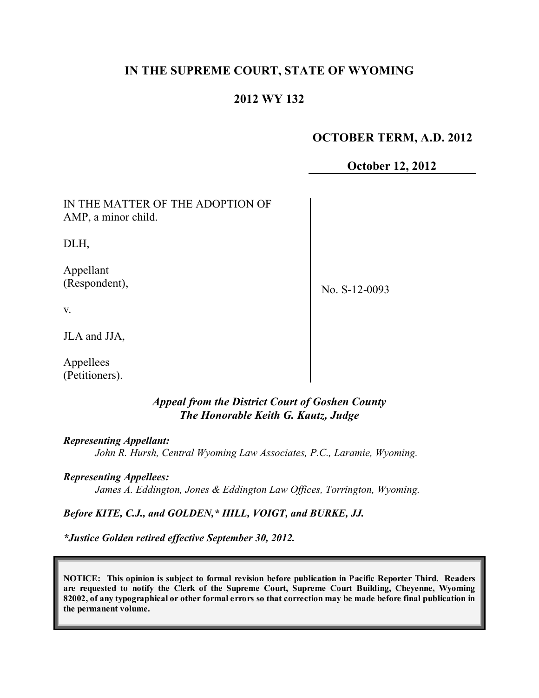# **IN THE SUPREME COURT, STATE OF WYOMING**

# **2012 WY 132**

# **OCTOBER TERM, A.D. 2012**

**October 12, 2012**

IN THE MATTER OF THE ADOPTION OF AMP, a minor child.

DLH,

Appellant (Respondent),

No. S-12-0093

v.

JLA and JJA,

Appellees (Petitioners).

# *Appeal from the District Court of Goshen County The Honorable Keith G. Kautz, Judge*

*Representing Appellant:*

*John R. Hursh, Central Wyoming Law Associates, P.C., Laramie, Wyoming.*

*Representing Appellees:*

*James A. Eddington, Jones & Eddington Law Offices, Torrington, Wyoming.*

*Before KITE, C.J., and GOLDEN,\* HILL, VOIGT, and BURKE, JJ.*

*\*Justice Golden retired effective September 30, 2012.*

**NOTICE: This opinion is subject to formal revision before publication in Pacific Reporter Third. Readers are requested to notify the Clerk of the Supreme Court, Supreme Court Building, Cheyenne, Wyoming** 82002, of any typographical or other formal errors so that correction may be made before final publication in **the permanent volume.**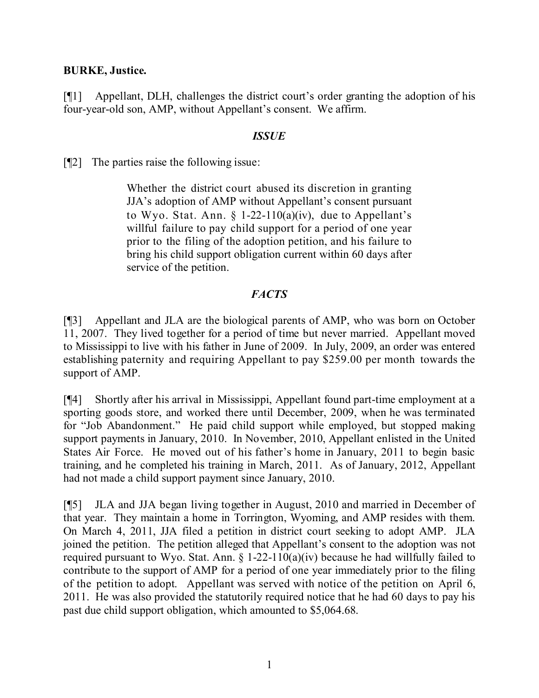#### **BURKE, Justice.**

[¶1] Appellant, DLH, challenges the district court's order granting the adoption of his four-year-old son, AMP, without Appellant's consent. We affirm.

#### *ISSUE*

[¶2] The parties raise the following issue:

Whether the district court abused its discretion in granting JJA's adoption of AMP without Appellant's consent pursuant to Wyo. Stat. Ann.  $\S$  1-22-110(a)(iv), due to Appellant's willful failure to pay child support for a period of one year prior to the filing of the adoption petition, and his failure to bring his child support obligation current within 60 days after service of the petition.

## *FACTS*

[¶3] Appellant and JLA are the biological parents of AMP, who was born on October 11, 2007. They lived together for a period of time but never married. Appellant moved to Mississippi to live with his father in June of 2009. In July, 2009, an order was entered establishing paternity and requiring Appellant to pay \$259.00 per month towards the support of AMP.

[¶4] Shortly after his arrival in Mississippi, Appellant found part-time employment at a sporting goods store, and worked there until December, 2009, when he was terminated for "Job Abandonment." He paid child support while employed, but stopped making support payments in January, 2010. In November, 2010, Appellant enlisted in the United States Air Force. He moved out of his father's home in January, 2011 to begin basic training, and he completed his training in March, 2011. As of January, 2012, Appellant had not made a child support payment since January, 2010.

[¶5] JLA and JJA began living together in August, 2010 and married in December of that year. They maintain a home in Torrington, Wyoming, and AMP resides with them. On March 4, 2011, JJA filed a petition in district court seeking to adopt AMP. JLA joined the petition. The petition alleged that Appellant's consent to the adoption was not required pursuant to Wyo. Stat. Ann.  $\S 1-22-110(a)(iv)$  because he had willfully failed to contribute to the support of AMP for a period of one year immediately prior to the filing of the petition to adopt. Appellant was served with notice of the petition on April 6, 2011. He was also provided the statutorily required notice that he had 60 days to pay his past due child support obligation, which amounted to \$5,064.68.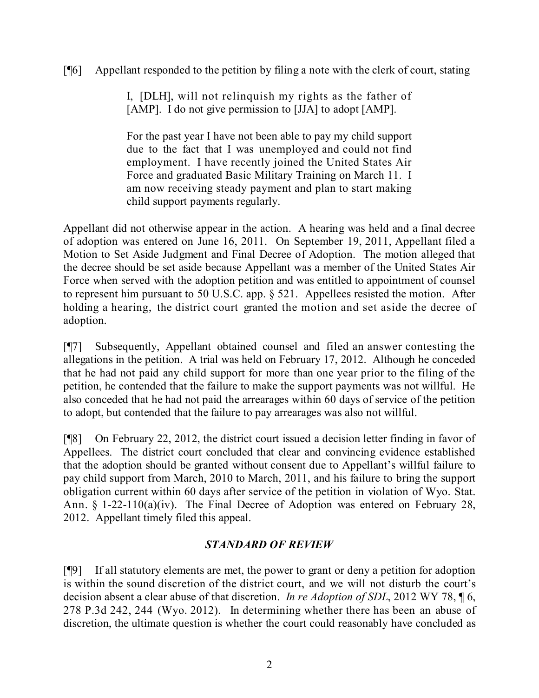# [¶6] Appellant responded to the petition by filing a note with the clerk of court, stating

I, [DLH], will not relinquish my rights as the father of [AMP]. I do not give permission to [JJA] to adopt [AMP].

For the past year I have not been able to pay my child support due to the fact that I was unemployed and could not find employment. I have recently joined the United States Air Force and graduated Basic Military Training on March 11. I am now receiving steady payment and plan to start making child support payments regularly.

Appellant did not otherwise appear in the action. A hearing was held and a final decree of adoption was entered on June 16, 2011. On September 19, 2011, Appellant filed a Motion to Set Aside Judgment and Final Decree of Adoption. The motion alleged that the decree should be set aside because Appellant was a member of the United States Air Force when served with the adoption petition and was entitled to appointment of counsel to represent him pursuant to 50 U.S.C. app. § 521. Appellees resisted the motion. After holding a hearing, the district court granted the motion and set aside the decree of adoption.

[¶7] Subsequently, Appellant obtained counsel and filed an answer contesting the allegations in the petition. A trial was held on February 17, 2012. Although he conceded that he had not paid any child support for more than one year prior to the filing of the petition, he contended that the failure to make the support payments was not willful. He also conceded that he had not paid the arrearages within 60 days of service of the petition to adopt, but contended that the failure to pay arrearages was also not willful.

[¶8] On February 22, 2012, the district court issued a decision letter finding in favor of Appellees. The district court concluded that clear and convincing evidence established that the adoption should be granted without consent due to Appellant's willful failure to pay child support from March, 2010 to March, 2011, and his failure to bring the support obligation current within 60 days after service of the petition in violation of Wyo. Stat. Ann. § 1-22-110(a)(iv). The Final Decree of Adoption was entered on February 28, 2012. Appellant timely filed this appeal.

# *STANDARD OF REVIEW*

[¶9] If all statutory elements are met, the power to grant or deny a petition for adoption is within the sound discretion of the district court, and we will not disturb the court's decision absent a clear abuse of that discretion. *In re Adoption of SDL*, 2012 WY 78, ¶ 6, 278 P.3d 242, 244 (Wyo. 2012). In determining whether there has been an abuse of discretion, the ultimate question is whether the court could reasonably have concluded as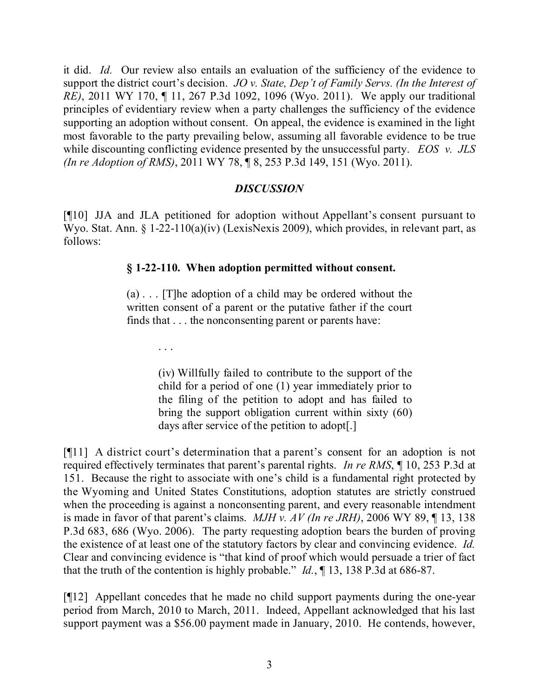it did. *Id.* Our review also entails an evaluation of the sufficiency of the evidence to support the district court's decision. *JO v. State, Dep't of Family Servs. (In the Interest of RE)*, 2011 WY 170, ¶ 11, 267 P.3d 1092, 1096 (Wyo. 2011). We apply our traditional principles of evidentiary review when a party challenges the sufficiency of the evidence supporting an adoption without consent. On appeal, the evidence is examined in the light most favorable to the party prevailing below, assuming all favorable evidence to be true while discounting conflicting evidence presented by the unsuccessful party. *EOS v. JLS (In re Adoption of RMS)*, 2011 WY 78, ¶ 8, 253 P.3d 149, 151 (Wyo. 2011).

#### *DISCUSSION*

[¶10] JJA and JLA petitioned for adoption without Appellant's consent pursuant to Wyo. Stat. Ann. § 1-22-110(a)(iv) (LexisNexis 2009), which provides, in relevant part, as follows:

## **§ 1-22-110. When adoption permitted without consent.**

(a) . . . [T]he adoption of a child may be ordered without the written consent of a parent or the putative father if the court finds that . . . the nonconsenting parent or parents have:

. . .

(iv) Willfully failed to contribute to the support of the child for a period of one (1) year immediately prior to the filing of the petition to adopt and has failed to bring the support obligation current within sixty (60) days after service of the petition to adopt[.]

[¶11] A district court's determination that a parent's consent for an adoption is not required effectively terminates that parent's parental rights. *In re RMS*, ¶ 10, 253 P.3d at 151. Because the right to associate with one's child is a fundamental right protected by the Wyoming and United States Constitutions, adoption statutes are strictly construed when the proceeding is against a nonconsenting parent, and every reasonable intendment is made in favor of that parent's claims. *MJH v. AV (In re JRH)*, 2006 WY 89, ¶ 13, 138 P.3d 683, 686 (Wyo. 2006). The party requesting adoption bears the burden of proving the existence of at least one of the statutory factors by clear and convincing evidence. *Id.*  Clear and convincing evidence is "that kind of proof which would persuade a trier of fact that the truth of the contention is highly probable." *Id.*, ¶ 13, 138 P.3d at 686-87.

[¶12] Appellant concedes that he made no child support payments during the one-year period from March, 2010 to March, 2011. Indeed, Appellant acknowledged that his last support payment was a \$56.00 payment made in January, 2010. He contends, however,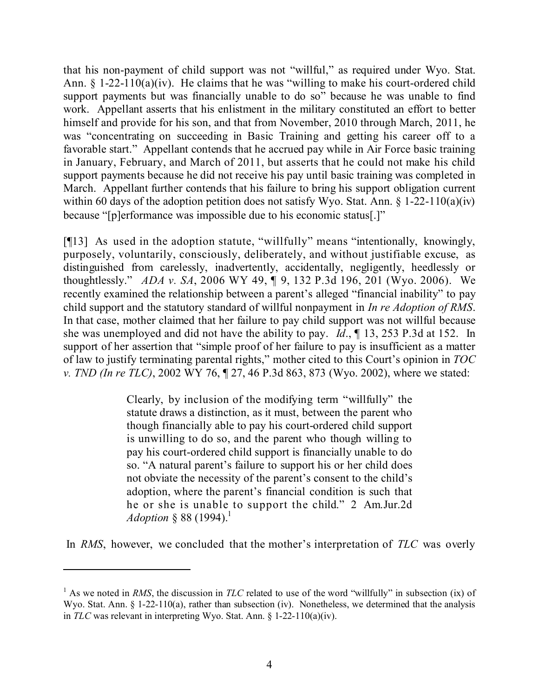that his non-payment of child support was not "willful," as required under Wyo. Stat. Ann.  $\S 1-22-110(a)(iv)$ . He claims that he was "willing to make his court-ordered child support payments but was financially unable to do so" because he was unable to find work. Appellant asserts that his enlistment in the military constituted an effort to better himself and provide for his son, and that from November, 2010 through March, 2011, he was "concentrating on succeeding in Basic Training and getting his career off to a favorable start." Appellant contends that he accrued pay while in Air Force basic training in January, February, and March of 2011, but asserts that he could not make his child support payments because he did not receive his pay until basic training was completed in March. Appellant further contends that his failure to bring his support obligation current within 60 days of the adoption petition does not satisfy Wyo. Stat. Ann.  $\S 1-22-110(a)(iv)$ because "[p]erformance was impossible due to his economic status[.]"

[¶13] As used in the adoption statute, "willfully" means "intentionally, knowingly, purposely, voluntarily, consciously, deliberately, and without justifiable excuse, as distinguished from carelessly, inadvertently, accidentally, negligently, heedlessly or thoughtlessly." *ADA v. SA*, 2006 WY 49, ¶ 9, 132 P.3d 196, 201 (Wyo. 2006). We recently examined the relationship between a parent's alleged "financial inability" to pay child support and the statutory standard of willful nonpayment in *In re Adoption of RMS*. In that case, mother claimed that her failure to pay child support was not willful because she was unemployed and did not have the ability to pay. *Id*., ¶ 13, 253 P.3d at 152. In support of her assertion that "simple proof of her failure to pay is insufficient as a matter of law to justify terminating parental rights," mother cited to this Court's opinion in *TOC v. TND (In re TLC)*, 2002 WY 76, ¶ 27, 46 P.3d 863, 873 (Wyo. 2002), where we stated:

> Clearly, by inclusion of the modifying term "willfully" the statute draws a distinction, as it must, between the parent who though financially able to pay his court-ordered child support is unwilling to do so, and the parent who though willing to pay his court-ordered child support is financially unable to do so. "A natural parent's failure to support his or her child does not obviate the necessity of the parent's consent to the child's adoption, where the parent's financial condition is such that he or she is unable to support the child." 2 Am.Jur.2d *Adoption* § 88 (1994). 1

In *RMS*, however, we concluded that the mother's interpretation of *TLC* was overly

<sup>&</sup>lt;sup>1</sup> As we noted in *RMS*, the discussion in *TLC* related to use of the word "willfully" in subsection (ix) of Wyo. Stat. Ann. § 1-22-110(a), rather than subsection (iv). Nonetheless, we determined that the analysis in *TLC* was relevant in interpreting Wyo. Stat. Ann. § 1-22-110(a)(iv).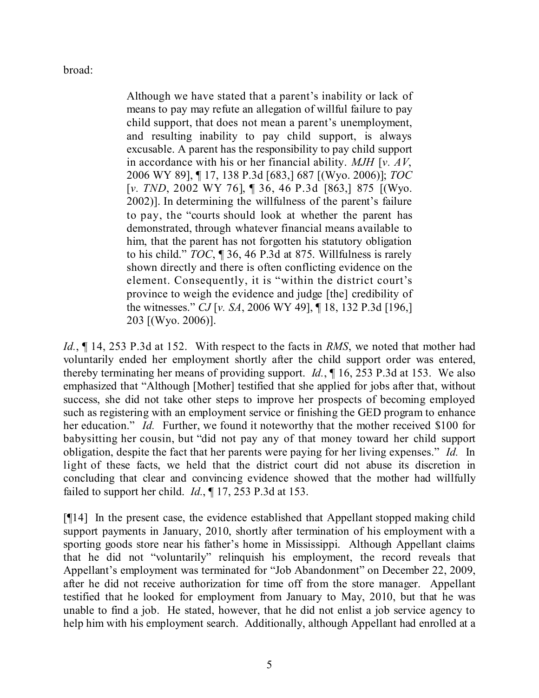broad:

Although we have stated that a parent's inability or lack of means to pay may refute an allegation of willful failure to pay child support, that does not mean a parent's unemployment, and resulting inability to pay child support, is always excusable. A parent has the responsibility to pay child support in accordance with his or her financial ability. *MJH* [*v. AV*, 2006 WY 89], ¶ 17, 138 P.3d [683,] 687 [(Wyo. 2006)]; *TOC* [*v. TND*, 2002 WY 76], ¶ 36, 46 P.3d [863,] 875 [(Wyo. 2002)]. In determining the willfulness of the parent's failure to pay, the "courts should look at whether the parent has demonstrated, through whatever financial means available to him, that the parent has not forgotten his statutory obligation to his child." *TOC*, ¶ 36, 46 P.3d at 875. Willfulness is rarely shown directly and there is often conflicting evidence on the element. Consequently, it is "within the district court's province to weigh the evidence and judge [the] credibility of the witnesses." *CJ* [*v. SA*, 2006 WY 49], ¶ 18, 132 P.3d [196,] 203 [(Wyo. 2006)].

*Id.*, ¶ 14, 253 P.3d at 152. With respect to the facts in *RMS*, we noted that mother had voluntarily ended her employment shortly after the child support order was entered, thereby terminating her means of providing support. *Id.*, ¶ 16, 253 P.3d at 153. We also emphasized that "Although [Mother] testified that she applied for jobs after that, without success, she did not take other steps to improve her prospects of becoming employed such as registering with an employment service or finishing the GED program to enhance her education." *Id.* Further, we found it noteworthy that the mother received \$100 for babysitting her cousin, but "did not pay any of that money toward her child support obligation, despite the fact that her parents were paying for her living expenses." *Id.* In light of these facts, we held that the district court did not abuse its discretion in concluding that clear and convincing evidence showed that the mother had willfully failed to support her child. *Id.*, ¶ 17, 253 P.3d at 153.

[¶14] In the present case, the evidence established that Appellant stopped making child support payments in January, 2010, shortly after termination of his employment with a sporting goods store near his father's home in Mississippi. Although Appellant claims that he did not "voluntarily" relinquish his employment, the record reveals that Appellant's employment was terminated for "Job Abandonment" on December 22, 2009, after he did not receive authorization for time off from the store manager. Appellant testified that he looked for employment from January to May, 2010, but that he was unable to find a job. He stated, however, that he did not enlist a job service agency to help him with his employment search. Additionally, although Appellant had enrolled at a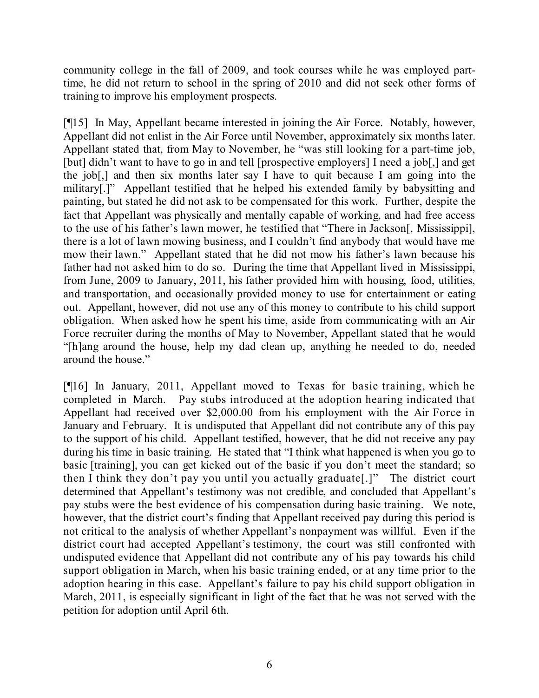community college in the fall of 2009, and took courses while he was employed parttime, he did not return to school in the spring of 2010 and did not seek other forms of training to improve his employment prospects.

[¶15] In May, Appellant became interested in joining the Air Force. Notably, however, Appellant did not enlist in the Air Force until November, approximately six months later. Appellant stated that, from May to November, he "was still looking for a part-time job, [but] didn't want to have to go in and tell [prospective employers] I need a job[,] and get the job[,] and then six months later say I have to quit because I am going into the military[.]" Appellant testified that he helped his extended family by babysitting and painting, but stated he did not ask to be compensated for this work. Further, despite the fact that Appellant was physically and mentally capable of working, and had free access to the use of his father's lawn mower, he testified that "There in Jackson[, Mississippi], there is a lot of lawn mowing business, and I couldn't find anybody that would have me mow their lawn." Appellant stated that he did not mow his father's lawn because his father had not asked him to do so. During the time that Appellant lived in Mississippi, from June, 2009 to January, 2011, his father provided him with housing, food, utilities, and transportation, and occasionally provided money to use for entertainment or eating out. Appellant, however, did not use any of this money to contribute to his child support obligation. When asked how he spent his time, aside from communicating with an Air Force recruiter during the months of May to November, Appellant stated that he would "[h]ang around the house, help my dad clean up, anything he needed to do, needed around the house."

[¶16] In January, 2011, Appellant moved to Texas for basic training, which he completed in March. Pay stubs introduced at the adoption hearing indicated that Appellant had received over \$2,000.00 from his employment with the Air Force in January and February. It is undisputed that Appellant did not contribute any of this pay to the support of his child. Appellant testified, however, that he did not receive any pay during his time in basic training. He stated that "I think what happened is when you go to basic [training], you can get kicked out of the basic if you don't meet the standard; so then I think they don't pay you until you actually graduate[.]" The district court determined that Appellant's testimony was not credible, and concluded that Appellant's pay stubs were the best evidence of his compensation during basic training. We note, however, that the district court's finding that Appellant received pay during this period is not critical to the analysis of whether Appellant's nonpayment was willful. Even if the district court had accepted Appellant's testimony, the court was still confronted with undisputed evidence that Appellant did not contribute any of his pay towards his child support obligation in March, when his basic training ended, or at any time prior to the adoption hearing in this case. Appellant's failure to pay his child support obligation in March, 2011, is especially significant in light of the fact that he was not served with the petition for adoption until April 6th.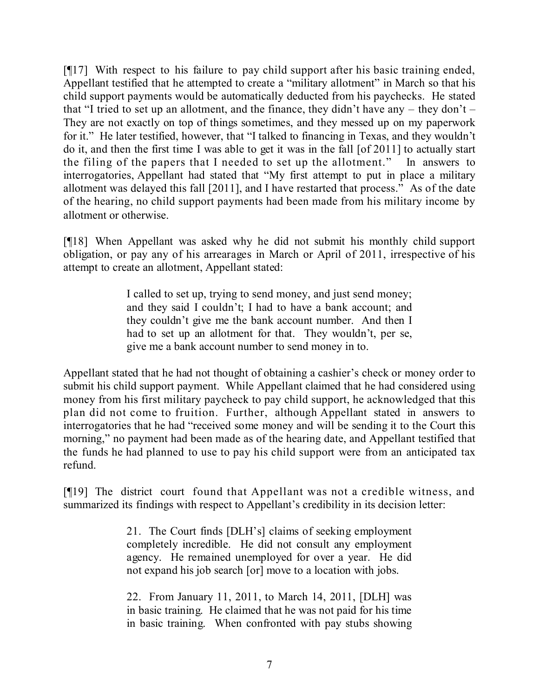[¶17] With respect to his failure to pay child support after his basic training ended, Appellant testified that he attempted to create a "military allotment" in March so that his child support payments would be automatically deducted from his paychecks. He stated that "I tried to set up an allotment, and the finance, they didn't have any  $-$  they don't  $-$ They are not exactly on top of things sometimes, and they messed up on my paperwork for it." He later testified, however, that "I talked to financing in Texas, and they wouldn't do it, and then the first time I was able to get it was in the fall [of 2011] to actually start the filing of the papers that I needed to set up the allotment." In answers to interrogatories, Appellant had stated that "My first attempt to put in place a military allotment was delayed this fall [2011], and I have restarted that process." As of the date of the hearing, no child support payments had been made from his military income by allotment or otherwise.

[¶18] When Appellant was asked why he did not submit his monthly child support obligation, or pay any of his arrearages in March or April of 2011, irrespective of his attempt to create an allotment, Appellant stated:

> I called to set up, trying to send money, and just send money; and they said I couldn't; I had to have a bank account; and they couldn't give me the bank account number. And then I had to set up an allotment for that. They wouldn't, per se, give me a bank account number to send money in to.

Appellant stated that he had not thought of obtaining a cashier's check or money order to submit his child support payment. While Appellant claimed that he had considered using money from his first military paycheck to pay child support, he acknowledged that this plan did not come to fruition. Further, although Appellant stated in answers to interrogatories that he had "received some money and will be sending it to the Court this morning," no payment had been made as of the hearing date, and Appellant testified that the funds he had planned to use to pay his child support were from an anticipated tax refund.

[¶19] The district court found that Appellant was not a credible witness, and summarized its findings with respect to Appellant's credibility in its decision letter:

> 21. The Court finds [DLH's] claims of seeking employment completely incredible. He did not consult any employment agency. He remained unemployed for over a year. He did not expand his job search [or] move to a location with jobs.

> 22. From January 11, 2011, to March 14, 2011, [DLH] was in basic training. He claimed that he was not paid for his time in basic training. When confronted with pay stubs showing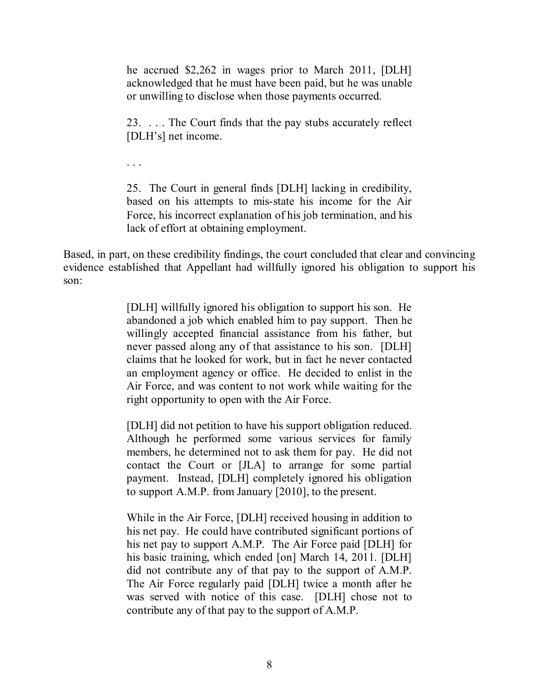he accrued \$2,262 in wages prior to March 2011, [DLH] acknowledged that he must have been paid, but he was unable or unwilling to disclose when those payments occurred.

23. . . . The Court finds that the pay stubs accurately reflect [DLH's] net income.

. . .

25. The Court in general finds [DLH] lacking in credibility, based on his attempts to mis-state his income for the Air Force, his incorrect explanation of his job termination, and his lack of effort at obtaining employment.

Based, in part, on these credibility findings, the court concluded that clear and convincing evidence established that Appellant had willfully ignored his obligation to support his son:

> [DLH] willfully ignored his obligation to support his son. He abandoned a job which enabled him to pay support. Then he willingly accepted financial assistance from his father, but never passed along any of that assistance to his son. [DLH] claims that he looked for work, but in fact he never contacted an employment agency or office. He decided to enlist in the Air Force, and was content to not work while waiting for the right opportunity to open with the Air Force.

> [DLH] did not petition to have his support obligation reduced. Although he performed some various services for family members, he determined not to ask them for pay. He did not contact the Court or [JLA] to arrange for some partial payment. Instead, [DLH] completely ignored his obligation to support A.M.P. from January [2010], to the present.

> While in the Air Force, [DLH] received housing in addition to his net pay. He could have contributed significant portions of his net pay to support A.M.P. The Air Force paid [DLH] for his basic training, which ended [on] March 14, 2011. [DLH] did not contribute any of that pay to the support of A.M.P. The Air Force regularly paid [DLH] twice a month after he was served with notice of this case. [DLH] chose not to contribute any of that pay to the support of A.M.P.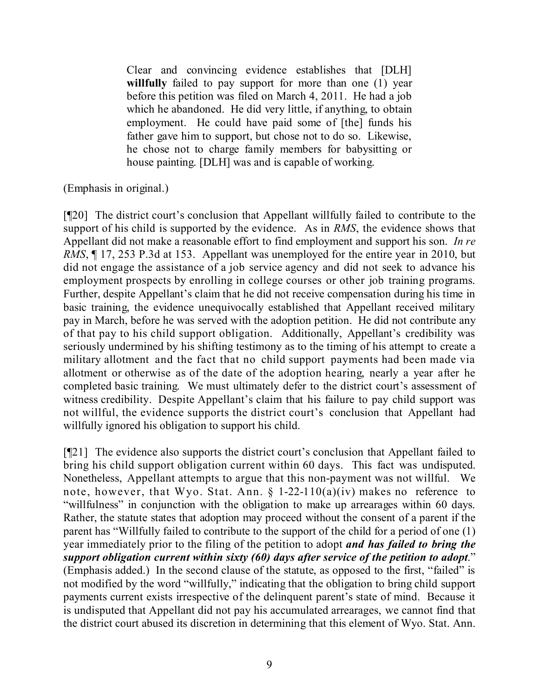Clear and convincing evidence establishes that [DLH] **willfully** failed to pay support for more than one (1) year before this petition was filed on March 4, 2011. He had a job which he abandoned. He did very little, if anything, to obtain employment. He could have paid some of [the] funds his father gave him to support, but chose not to do so. Likewise, he chose not to charge family members for babysitting or house painting. [DLH] was and is capable of working.

(Emphasis in original.)

[¶20] The district court's conclusion that Appellant willfully failed to contribute to the support of his child is supported by the evidence. As in *RMS*, the evidence shows that Appellant did not make a reasonable effort to find employment and support his son. *In re RMS*,  $\parallel$  17, 253 P.3d at 153. Appellant was unemployed for the entire year in 2010, but did not engage the assistance of a job service agency and did not seek to advance his employment prospects by enrolling in college courses or other job training programs. Further, despite Appellant's claim that he did not receive compensation during his time in basic training, the evidence unequivocally established that Appellant received military pay in March, before he was served with the adoption petition. He did not contribute any of that pay to his child support obligation. Additionally, Appellant's credibility was seriously undermined by his shifting testimony as to the timing of his attempt to create a military allotment and the fact that no child support payments had been made via allotment or otherwise as of the date of the adoption hearing, nearly a year after he completed basic training. We must ultimately defer to the district court's assessment of witness credibility. Despite Appellant's claim that his failure to pay child support was not willful, the evidence supports the district court's conclusion that Appellant had willfully ignored his obligation to support his child.

[¶21] The evidence also supports the district court's conclusion that Appellant failed to bring his child support obligation current within 60 days. This fact was undisputed. Nonetheless, Appellant attempts to argue that this non-payment was not willful. We note, however, that Wyo. Stat. Ann.  $\S$  1-22-110(a)(iv) makes no reference to "willfulness" in conjunction with the obligation to make up arrearages within 60 days. Rather, the statute states that adoption may proceed without the consent of a parent if the parent has "Willfully failed to contribute to the support of the child for a period of one (1) year immediately prior to the filing of the petition to adopt *and has failed to bring the support obligation current within sixty (60) days after service of the petition to adopt*." (Emphasis added.) In the second clause of the statute, as opposed to the first, "failed" is not modified by the word "willfully," indicating that the obligation to bring child support payments current exists irrespective of the delinquent parent's state of mind. Because it is undisputed that Appellant did not pay his accumulated arrearages, we cannot find that the district court abused its discretion in determining that this element of Wyo. Stat. Ann.